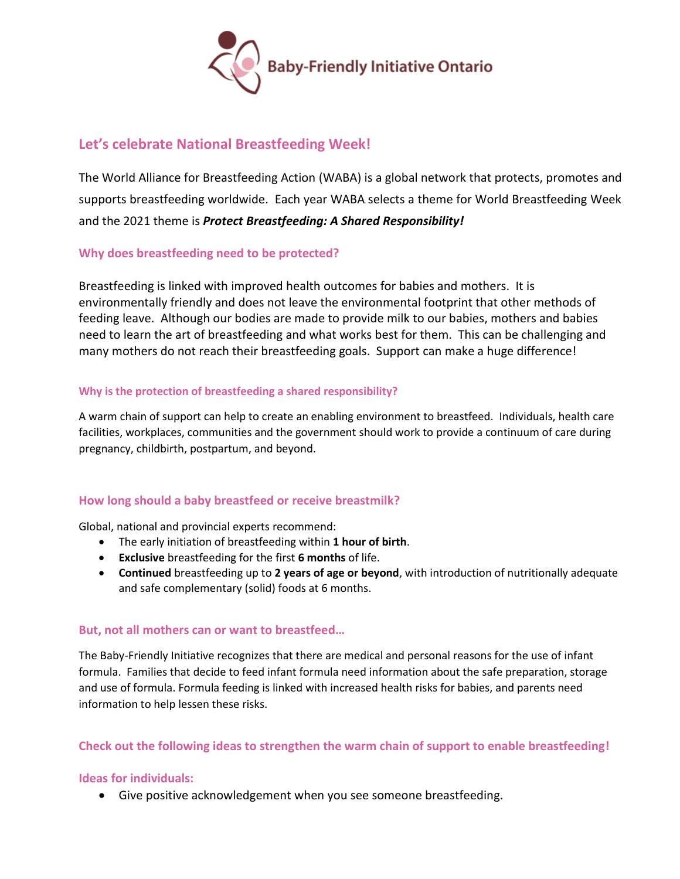

# **Let's celebrate National Breastfeeding Week!**

The World Alliance for Breastfeeding Action (WABA) is a global network that protects, promotes and supports breastfeeding worldwide. Each year WABA selects a theme for World Breastfeeding Week and the 2021 theme is *Protect Breastfeeding: A Shared Responsibility!*

## **Why does breastfeeding need to be protected?**

Breastfeeding is linked with improved health outcomes for babies and mothers. It is environmentally friendly and does not leave the environmental footprint that other methods of feeding leave. Although our bodies are made to provide milk to our babies, mothers and babies need to learn the art of breastfeeding and what works best for them. This can be challenging and many mothers do not reach their breastfeeding goals. Support can make a huge difference!

#### **Why is the protection of breastfeeding a shared responsibility?**

A warm chain of support can help to create an enabling environment to breastfeed. Individuals, health care facilities, workplaces, communities and the government should work to provide a continuum of care during pregnancy, childbirth, postpartum, and beyond.

## **How long should a baby breastfeed or receive breastmilk?**

Global, national and provincial experts recommend:

- The early initiation of breastfeeding within **1 hour of birth**.
- **Exclusive** breastfeeding for the first **6 months** of life.
- **Continued** breastfeeding up to **2 years of age or beyond**, with introduction of nutritionally adequate and safe complementary (solid) foods at 6 months.

#### **But, not all mothers can or want to breastfeed…**

The Baby-Friendly Initiative recognizes that there are medical and personal reasons for the use of infant formula. Families that decide to feed infant formula need information about the safe preparation, storage and use of formula. Formula feeding is linked with increased health risks for babies, and parents need information to help lessen these risks.

#### **Check out the following ideas to strengthen the warm chain of support to enable breastfeeding!**

#### **Ideas for individuals:**

• Give positive acknowledgement when you see someone breastfeeding.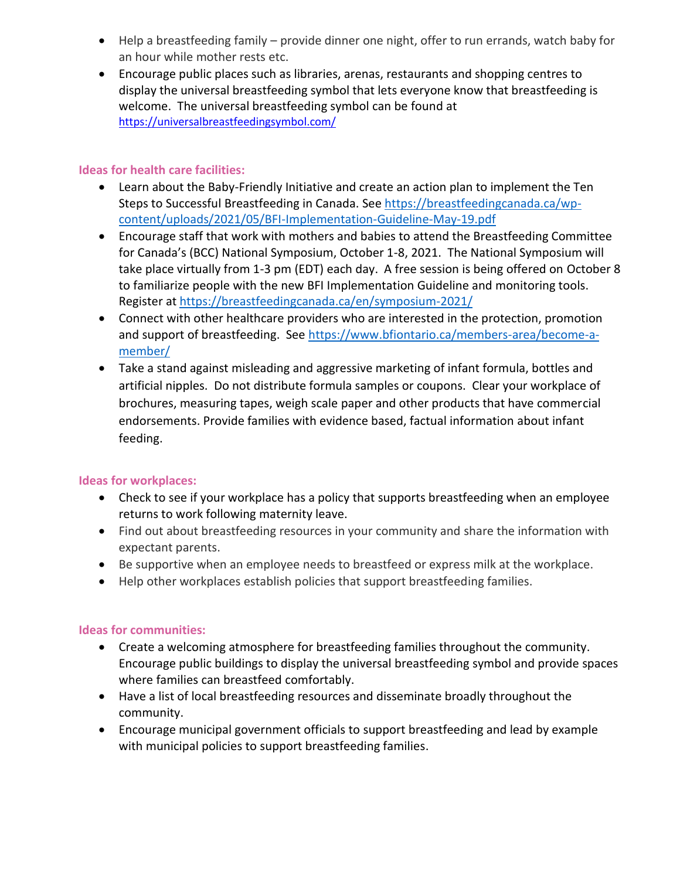- Help a breastfeeding family provide dinner one night, offer to run errands, watch baby for an hour while mother rests etc.
- Encourage public places such as libraries, arenas, restaurants and shopping centres to display the universal breastfeeding symbol that lets everyone know that breastfeeding is welcome. The universal breastfeeding symbol can be found at <https://universalbreastfeedingsymbol.com/>

### **Ideas for health care facilities:**

- Learn about the Baby-Friendly Initiative and create an action plan to implement the Ten Steps to Successful Breastfeeding in Canada. See [https://breastfeedingcanada.ca/wp](https://breastfeedingcanada.ca/wp-content/uploads/2021/05/BFI-Implementation-Guideline-May-19.pdf)[content/uploads/2021/05/BFI-Implementation-Guideline-May-19.pdf](https://breastfeedingcanada.ca/wp-content/uploads/2021/05/BFI-Implementation-Guideline-May-19.pdf)
- Encourage staff that work with mothers and babies to attend the Breastfeeding Committee for Canada's (BCC) National Symposium, October 1-8, 2021. The National Symposium will take place virtually from 1-3 pm (EDT) each day. A free session is being offered on October 8 to familiarize people with the new BFI Implementation Guideline and monitoring tools. Register at <https://breastfeedingcanada.ca/en/symposium-2021/>
- Connect with other healthcare providers who are interested in the protection, promotion and support of breastfeeding. See [https://www.bfiontario.ca/members-area/become-a](https://www.bfiontario.ca/members-area/become-a-member/)[member/](https://www.bfiontario.ca/members-area/become-a-member/)
- Take a stand against misleading and aggressive marketing of infant formula, bottles and artificial nipples. Do not distribute formula samples or coupons. Clear your workplace of brochures, measuring tapes, weigh scale paper and other products that have commercial endorsements. Provide families with evidence based, factual information about infant feeding.

## **Ideas for workplaces:**

- Check to see if your workplace has a policy that supports breastfeeding when an employee returns to work following maternity leave.
- Find out about breastfeeding resources in your community and share the information with expectant parents.
- Be supportive when an employee needs to breastfeed or express milk at the workplace.
- Help other workplaces establish policies that support breastfeeding families.

## **Ideas for communities:**

- Create a welcoming atmosphere for breastfeeding families throughout the community. Encourage public buildings to display the universal breastfeeding symbol and provide spaces where families can breastfeed comfortably.
- Have a list of local breastfeeding resources and disseminate broadly throughout the community.
- Encourage municipal government officials to support breastfeeding and lead by example with municipal policies to support breastfeeding families.